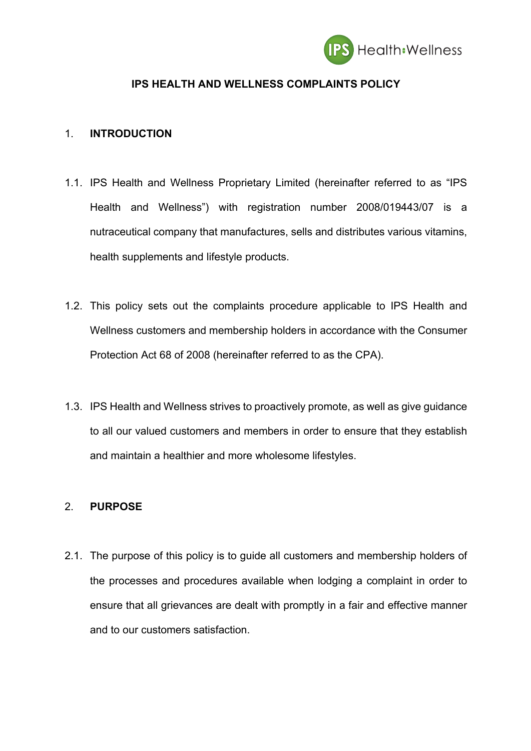

### **IPS HEALTH AND WELLNESS COMPLAINTS POLICY**

#### 1. **INTRODUCTION**

- 1.1. IPS Health and Wellness Proprietary Limited (hereinafter referred to as "IPS Health and Wellness") with registration number 2008/019443/07 is a nutraceutical company that manufactures, sells and distributes various vitamins, health supplements and lifestyle products.
- 1.2. This policy sets out the complaints procedure applicable to IPS Health and Wellness customers and membership holders in accordance with the Consumer Protection Act 68 of 2008 (hereinafter referred to as the CPA).
- 1.3. IPS Health and Wellness strives to proactively promote, as well as give guidance to all our valued customers and members in order to ensure that they establish and maintain a healthier and more wholesome lifestyles.

# 2. **PURPOSE**

2.1. The purpose of this policy is to guide all customers and membership holders of the processes and procedures available when lodging a complaint in order to ensure that all grievances are dealt with promptly in a fair and effective manner and to our customers satisfaction.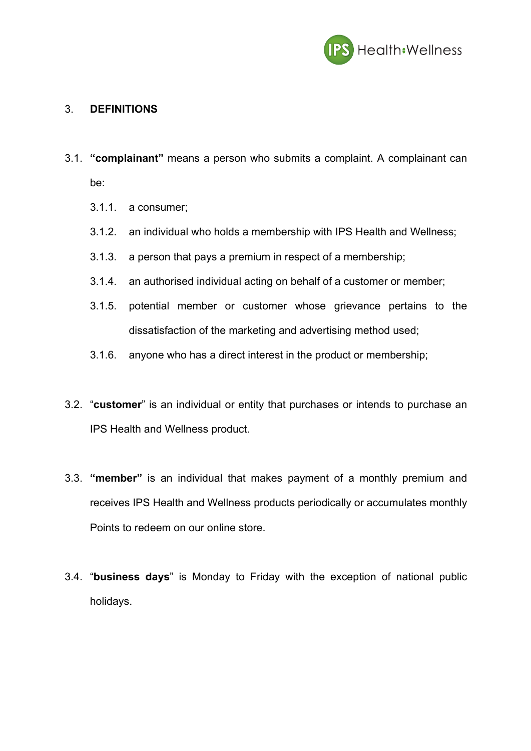

### 3. **DEFINITIONS**

- 3.1. **"complainant"** means a person who submits a complaint. A complainant can be:
	- 3.1.1. a consumer;
	- 3.1.2. an individual who holds a membership with IPS Health and Wellness;
	- 3.1.3. a person that pays a premium in respect of a membership;
	- 3.1.4. an authorised individual acting on behalf of a customer or member;
	- 3.1.5. potential member or customer whose grievance pertains to the dissatisfaction of the marketing and advertising method used;
	- 3.1.6. anyone who has a direct interest in the product or membership;
- 3.2. "**customer**" is an individual or entity that purchases or intends to purchase an IPS Health and Wellness product.
- 3.3. **"member"** is an individual that makes payment of a monthly premium and receives IPS Health and Wellness products periodically or accumulates monthly Points to redeem on our online store.
- 3.4. "**business days**" is Monday to Friday with the exception of national public holidays.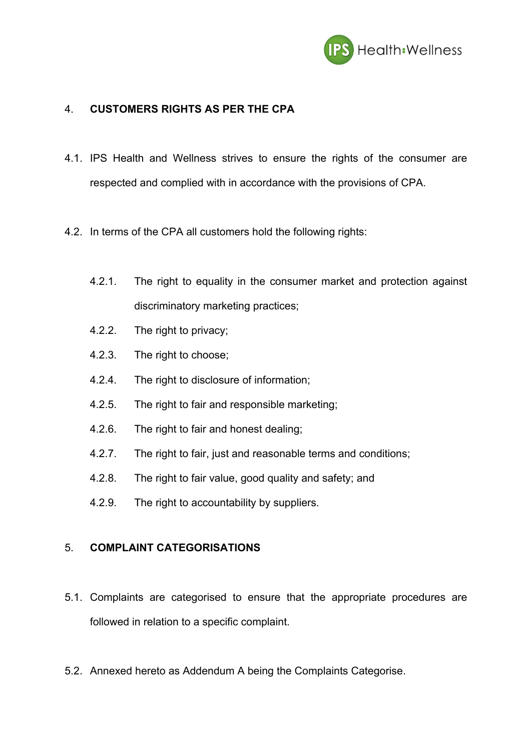

### 4. **CUSTOMERS RIGHTS AS PER THE CPA**

- 4.1. IPS Health and Wellness strives to ensure the rights of the consumer are respected and complied with in accordance with the provisions of CPA.
- 4.2. In terms of the CPA all customers hold the following rights:
	- 4.2.1. The right to equality in the consumer market and protection against discriminatory marketing practices;
	- 4.2.2. The right to privacy;
	- 4.2.3. The right to choose;
	- 4.2.4. The right to disclosure of information;
	- 4.2.5. The right to fair and responsible marketing;
	- 4.2.6. The right to fair and honest dealing;
	- 4.2.7. The right to fair, just and reasonable terms and conditions;
	- 4.2.8. The right to fair value, good quality and safety; and
	- 4.2.9. The right to accountability by suppliers.

#### 5. **COMPLAINT CATEGORISATIONS**

- 5.1. Complaints are categorised to ensure that the appropriate procedures are followed in relation to a specific complaint.
- 5.2. Annexed hereto as Addendum A being the Complaints Categorise.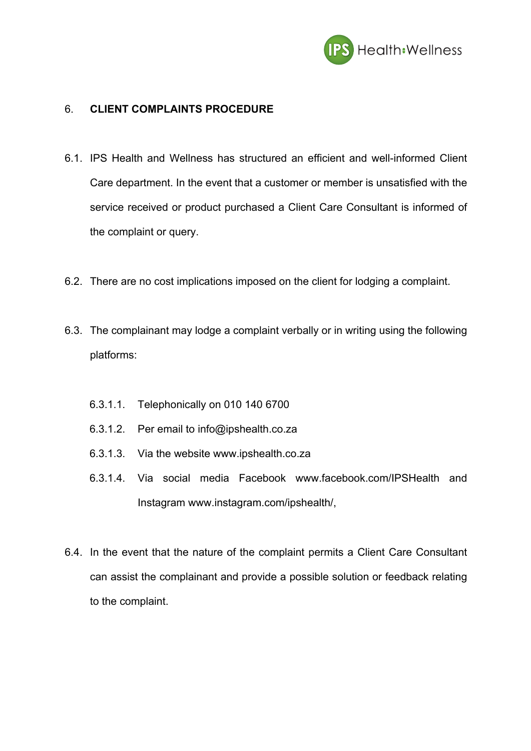

### 6. **CLIENT COMPLAINTS PROCEDURE**

- 6.1. IPS Health and Wellness has structured an efficient and well-informed Client Care department. In the event that a customer or member is unsatisfied with the service received or product purchased a Client Care Consultant is informed of the complaint or query.
- 6.2. There are no cost implications imposed on the client for lodging a complaint.
- 6.3. The complainant may lodge a complaint verbally or in writing using the following platforms:
	- 6.3.1.1. Telephonically on 010 140 6700
	- 6.3.1.2. Per email to info@ipshealth.co.za
	- 6.3.1.3. Via the website www.ipshealth.co.za
	- 6.3.1.4. Via social media Facebook www.facebook.com/IPSHealth and Instagram www.instagram.com/ipshealth/,
- 6.4. In the event that the nature of the complaint permits a Client Care Consultant can assist the complainant and provide a possible solution or feedback relating to the complaint.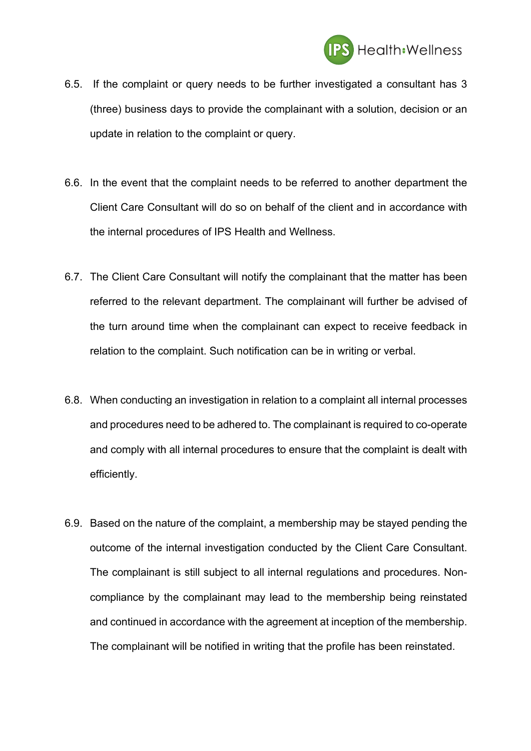

- 6.5. If the complaint or query needs to be further investigated a consultant has 3 (three) business days to provide the complainant with a solution, decision or an update in relation to the complaint or query.
- 6.6. In the event that the complaint needs to be referred to another department the Client Care Consultant will do so on behalf of the client and in accordance with the internal procedures of IPS Health and Wellness.
- 6.7. The Client Care Consultant will notify the complainant that the matter has been referred to the relevant department. The complainant will further be advised of the turn around time when the complainant can expect to receive feedback in relation to the complaint. Such notification can be in writing or verbal.
- 6.8. When conducting an investigation in relation to a complaint all internal processes and procedures need to be adhered to. The complainant is required to co-operate and comply with all internal procedures to ensure that the complaint is dealt with efficiently.
- 6.9. Based on the nature of the complaint, a membership may be stayed pending the outcome of the internal investigation conducted by the Client Care Consultant. The complainant is still subject to all internal regulations and procedures. Noncompliance by the complainant may lead to the membership being reinstated and continued in accordance with the agreement at inception of the membership. The complainant will be notified in writing that the profile has been reinstated.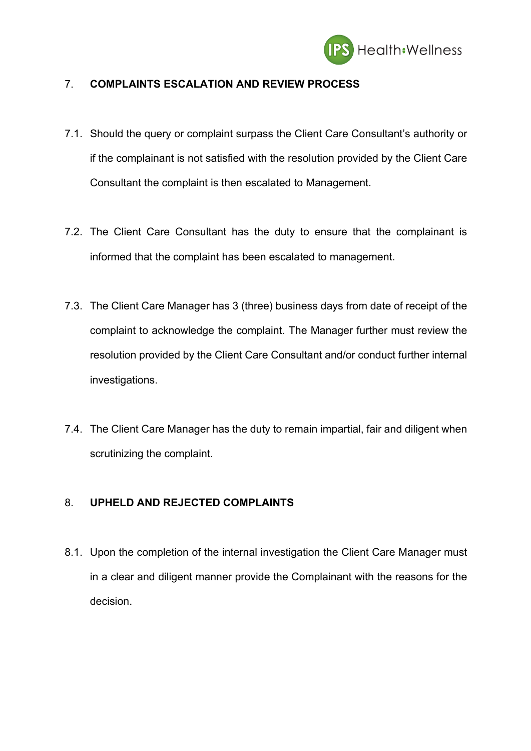

# 7. **COMPLAINTS ESCALATION AND REVIEW PROCESS**

- 7.1. Should the query or complaint surpass the Client Care Consultant's authority or if the complainant is not satisfied with the resolution provided by the Client Care Consultant the complaint is then escalated to Management.
- 7.2. The Client Care Consultant has the duty to ensure that the complainant is informed that the complaint has been escalated to management.
- 7.3. The Client Care Manager has 3 (three) business days from date of receipt of the complaint to acknowledge the complaint. The Manager further must review the resolution provided by the Client Care Consultant and/or conduct further internal investigations.
- 7.4. The Client Care Manager has the duty to remain impartial, fair and diligent when scrutinizing the complaint.

# 8. **UPHELD AND REJECTED COMPLAINTS**

8.1. Upon the completion of the internal investigation the Client Care Manager must in a clear and diligent manner provide the Complainant with the reasons for the decision.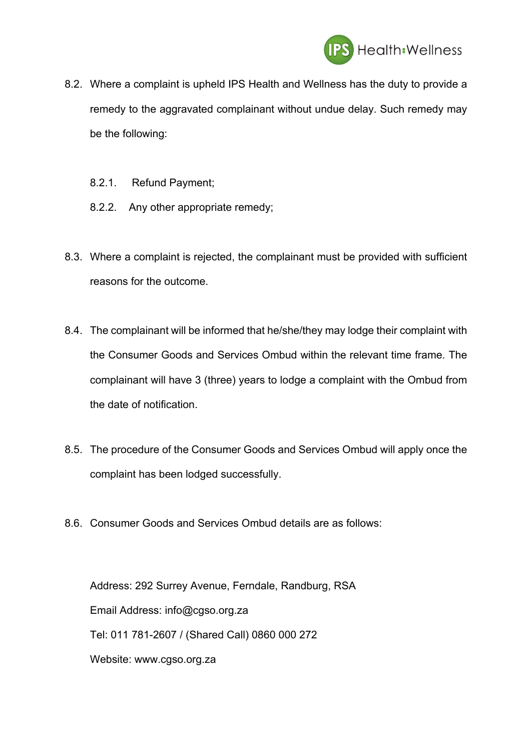

- 8.2. Where a complaint is upheld IPS Health and Wellness has the duty to provide a remedy to the aggravated complainant without undue delay. Such remedy may be the following:
	- 8.2.1. Refund Payment;
	- 8.2.2. Any other appropriate remedy;
- 8.3. Where a complaint is rejected, the complainant must be provided with sufficient reasons for the outcome.
- 8.4. The complainant will be informed that he/she/they may lodge their complaint with the Consumer Goods and Services Ombud within the relevant time frame. The complainant will have 3 (three) years to lodge a complaint with the Ombud from the date of notification.
- 8.5. The procedure of the Consumer Goods and Services Ombud will apply once the complaint has been lodged successfully.
- 8.6. Consumer Goods and Services Ombud details are as follows:

Address: 292 Surrey Avenue, Ferndale, Randburg, RSA Email Address: info@cgso.org.za Tel: 011 781-2607 / (Shared Call) 0860 000 272 Website: www.cgso.org.za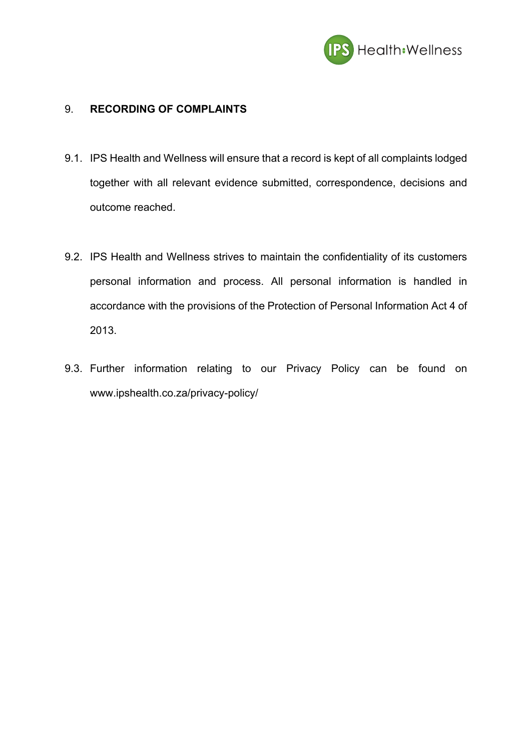

### 9. **RECORDING OF COMPLAINTS**

- 9.1. IPS Health and Wellness will ensure that a record is kept of all complaints lodged together with all relevant evidence submitted, correspondence, decisions and outcome reached.
- 9.2. IPS Health and Wellness strives to maintain the confidentiality of its customers personal information and process. All personal information is handled in accordance with the provisions of the Protection of Personal Information Act 4 of 2013.
- 9.3. Further information relating to our Privacy Policy can be found on www.ipshealth.co.za/privacy-policy/